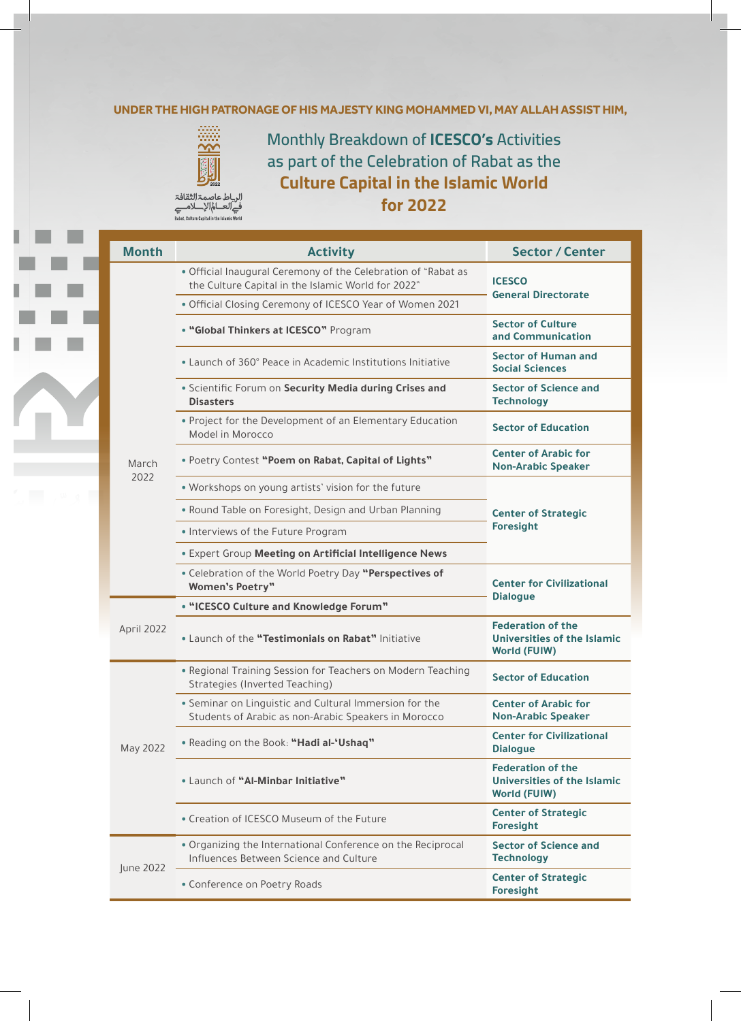## UNDER THE HIGH PATRONAGE OF HIS MAJESTY KING MOHAMMED VI, MAY ALLAH ASSIST HIM,



**Monthly Breakdown of ICESCO's Activities** as part of the Celebration of Rabat as the **Culture Capital in the Islamic World 2022 for**

الرباط عاصمۃ الثقافۃ<br>فےالعـــالم|لإــــلامـــے<br>Rabat, Culture Capital in the Islamic World

| <b>Month</b>  | <b>Activity</b>                                                                                                     | <b>Sector / Center</b>                                                                |
|---------------|---------------------------------------------------------------------------------------------------------------------|---------------------------------------------------------------------------------------|
| March<br>2022 | • Official Inaugural Ceremony of the Celebration of "Rabat as<br>the Culture Capital in the Islamic World for 2022" | <b>ICESCO</b><br><b>General Directorate</b>                                           |
|               | . Official Closing Ceremony of ICESCO Year of Women 2021                                                            |                                                                                       |
|               | . "Global Thinkers at ICESCO" Program                                                                               | <b>Sector of Culture</b><br>and Communication                                         |
|               | • Launch of 360° Peace in Academic Institutions Initiative                                                          | <b>Sector of Human and</b><br><b>Social Sciences</b>                                  |
|               | · Scientific Forum on Security Media during Crises and<br><b>Disasters</b>                                          | <b>Sector of Science and</b><br><b>Technology</b>                                     |
|               | • Project for the Development of an Elementary Education<br>Model in Morocco                                        | <b>Sector of Education</b>                                                            |
|               | . Poetry Contest "Poem on Rabat, Capital of Lights"                                                                 | <b>Center of Arabic for</b><br><b>Non-Arabic Speaker</b>                              |
|               | • Workshops on young artists' vision for the future                                                                 | <b>Center of Strategic</b><br><b>Foresight</b>                                        |
|               | • Round Table on Foresight, Design and Urban Planning                                                               |                                                                                       |
|               | • Interviews of the Future Program                                                                                  |                                                                                       |
|               | · Expert Group Meeting on Artificial Intelligence News                                                              |                                                                                       |
|               | . Celebration of the World Poetry Day "Perspectives of<br><b>Women's Poetry"</b>                                    | <b>Center for Civilizational</b><br><b>Dialogue</b>                                   |
|               | • "ICESCO Culture and Knowledge Forum"                                                                              |                                                                                       |
| April 2022    | . Launch of the "Testimonials on Rabat" Initiative                                                                  | <b>Federation of the</b><br>Universities of the Islamic<br><b>World (FUIW)</b>        |
| May 2022      | • Regional Training Session for Teachers on Modern Teaching<br>Strategies (Inverted Teaching)                       | <b>Sector of Education</b>                                                            |
|               | • Seminar on Linguistic and Cultural Immersion for the<br>Students of Arabic as non-Arabic Speakers in Morocco      | <b>Center of Arabic for</b><br><b>Non-Arabic Speaker</b>                              |
|               | . Reading on the Book: "Hadi al-'Ushaq"                                                                             | <b>Center for Civilizational</b><br><b>Dialogue</b>                                   |
|               | . Launch of "Al-Minbar Initiative"                                                                                  | <b>Federation of the</b><br><b>Universities of the Islamic</b><br><b>World (FUIW)</b> |
|               | • Creation of ICESCO Museum of the Future                                                                           | <b>Center of Strategic</b><br><b>Foresight</b>                                        |
| June 2022     | . Organizing the International Conference on the Reciprocal<br>Influences Between Science and Culture               | <b>Sector of Science and</b>                                                          |
|               | • Conference on Poetry Roads                                                                                        | <b>Technology</b><br><b>Center of Strategic</b><br><b>Foresight</b>                   |